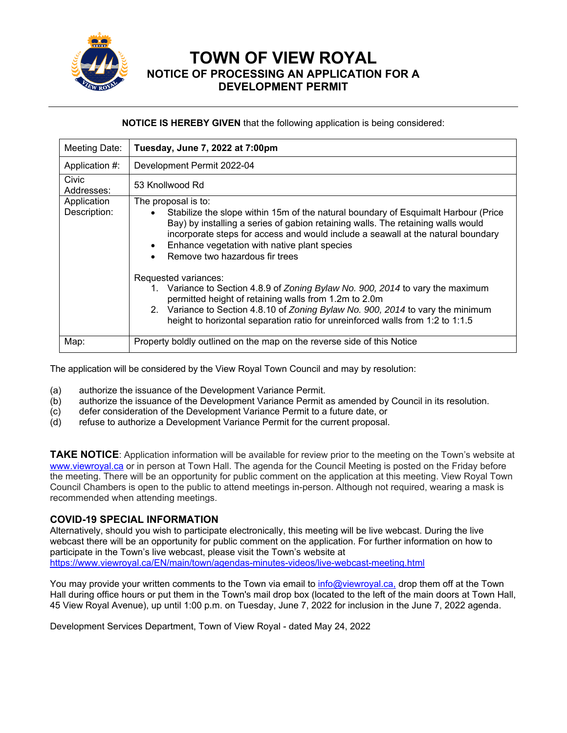

**TOWN OF VIEW ROYAL NOTICE OF PROCESSING AN APPLICATION FOR A DEVELOPMENT PERMIT** 

## **NOTICE IS HEREBY GIVEN** that the following application is being considered:

| Meeting Date:               | Tuesday, June 7, 2022 at 7:00pm                                                                                                                                                                                                                                                                                                                                                                                                                                                                                      |
|-----------------------------|----------------------------------------------------------------------------------------------------------------------------------------------------------------------------------------------------------------------------------------------------------------------------------------------------------------------------------------------------------------------------------------------------------------------------------------------------------------------------------------------------------------------|
| Application #:              | Development Permit 2022-04                                                                                                                                                                                                                                                                                                                                                                                                                                                                                           |
| Civic<br>Addresses:         | 53 Knollwood Rd                                                                                                                                                                                                                                                                                                                                                                                                                                                                                                      |
| Application<br>Description: | The proposal is to:<br>Stabilize the slope within 15m of the natural boundary of Esquimalt Harbour (Price<br>$\bullet$<br>Bay) by installing a series of gabion retaining walls. The retaining walls would<br>incorporate steps for access and would include a seawall at the natural boundary<br>Enhance vegetation with native plant species<br>$\bullet$<br>Remove two hazardous fir trees<br>$\bullet$<br>Requested variances:<br>1. Variance to Section 4.8.9 of Zoning Bylaw No. 900, 2014 to vary the maximum |
|                             | permitted height of retaining walls from 1.2m to 2.0m<br>2. Variance to Section 4.8.10 of Zoning Bylaw No. 900, 2014 to vary the minimum<br>height to horizontal separation ratio for unreinforced walls from 1:2 to 1:1.5                                                                                                                                                                                                                                                                                           |
| Map:                        | Property boldly outlined on the map on the reverse side of this Notice                                                                                                                                                                                                                                                                                                                                                                                                                                               |

The application will be considered by the View Royal Town Council and may by resolution:

- (a) authorize the issuance of the Development Variance Permit.
- (b) authorize the issuance of the Development Variance Permit as amended by Council in its resolution.
- (c) defer consideration of the Development Variance Permit to a future date, or
- (d) refuse to authorize a Development Variance Permit for the current proposal.

**TAKE NOTICE**: Application information will be available for review prior to the meeting on the Town's website at www.viewroyal.ca or in person at Town Hall. The agenda for the Council Meeting is posted on the Friday before the meeting. There will be an opportunity for public comment on the application at this meeting. View Royal Town Council Chambers is open to the public to attend meetings in-person. Although not required, wearing a mask is recommended when attending meetings.

## **COVID-19 SPECIAL INFORMATION**

Alternatively, should you wish to participate electronically, this meeting will be live webcast. During the live webcast there will be an opportunity for public comment on the application. For further information on how to participate in the Town's live webcast, please visit the Town's website at https://www.viewroyal.ca/EN/main/town/agendas-minutes-videos/live-webcast-meeting.html

You may provide your written comments to the Town via email to info@viewroyal.ca, drop them off at the Town Hall during office hours or put them in the Town's mail drop box (located to the left of the main doors at Town Hall, 45 View Royal Avenue), up until 1:00 p.m. on Tuesday, June 7, 2022 for inclusion in the June 7, 2022 agenda.

Development Services Department, Town of View Royal - dated May 24, 2022